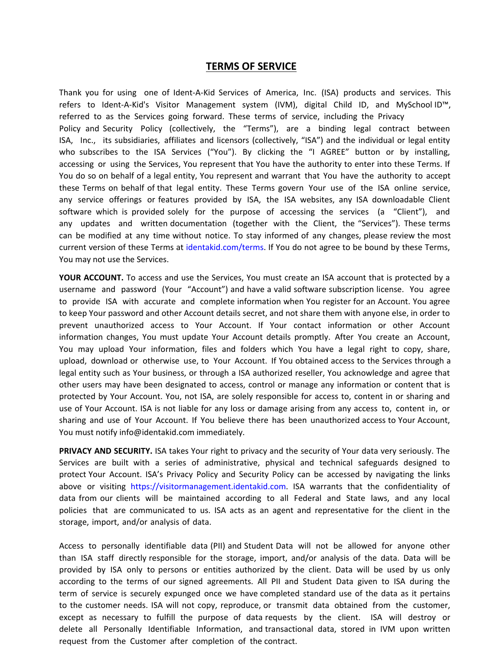## **TERMS OF SERVICE**

Thank you for using one of Ident-A-Kid Services of America, Inc. (ISA) products and services. This refers to Ident-A-Kid's Visitor Management system (IVM), digital Child ID, and MySchool ID™, referred to as the Services going forward. These terms of service, including the Privacy Policy and Security Policy (collectively, the "Terms"), are a binding legal contract between ISA, Inc., its subsidiaries, affiliates and licensors (collectively, "ISA") and the individual or legal entity who subscribes to the ISA Services ("You"). By clicking the "I AGREE" button or by installing, accessing or using the Services, You represent that You have the authority to enter into these Terms. If You do so on behalf of a legal entity, You represent and warrant that You have the authority to accept these Terms on behalf of that legal entity. These Terms govern Your use of the ISA online service, any service offerings or features provided by ISA, the ISA websites, any ISA downloadable Client software which is provided solely for the purpose of accessing the services (a "Client"), and any updates and written documentation (together with the Client, the "Services"). These terms can be modified at any time without notice. To stay informed of any changes, please review the most current version of these Terms at identakid.com/terms. If You do not agree to be bound by these Terms, You may not use the Services.

**YOUR ACCOUNT.** To access and use the Services, You must create an ISA account that is protected by a username and password (Your "Account") and have a valid software subscription license. You agree to provide ISA with accurate and complete information when You register for an Account. You agree to keep Your password and other Account details secret, and not share them with anyone else, in order to prevent unauthorized access to Your Account. If Your contact information or other Account information changes, You must update Your Account details promptly. After You create an Account, You may upload Your information, files and folders which You have a legal right to copy, share, upload, download or otherwise use, to Your Account. If You obtained access to the Services through a legal entity such as Your business, or through a ISA authorized reseller, You acknowledge and agree that other users may have been designated to access, control or manage any information or content that is protected by Your Account. You, not ISA, are solely responsible for access to, content in or sharing and use of Your Account. ISA is not liable for any loss or damage arising from any access to, content in, or sharing and use of Your Account. If You believe there has been unauthorized access to Your Account, You must notify info@identakid.com immediately.

**PRIVACY AND SECURITY.** ISA takes Your right to privacy and the security of Your data very seriously. The Services are built with a series of administrative, physical and technical safeguards designed to protect Your Account. ISA's Privacy Policy and Security Policy can be accessed by navigating the links above or visiting https://visitormanagement.identakid.com. ISA warrants that the confidentiality of data from our clients will be maintained according to all Federal and State laws, and any local policies that are communicated to us. ISA acts as an agent and representative for the client in the storage, import, and/or analysis of data.

Access to personally identifiable data (PII) and Student Data will not be allowed for anyone other than ISA staff directly responsible for the storage, import, and/or analysis of the data. Data will be provided by ISA only to persons or entities authorized by the client. Data will be used by us only according to the terms of our signed agreements. All PII and Student Data given to ISA during the term of service is securely expunged once we have completed standard use of the data as it pertains to the customer needs. ISA will not copy, reproduce, or transmit data obtained from the customer, except as necessary to fulfill the purpose of data requests by the client. ISA will destroy or delete all Personally Identifiable Information, and transactional data, stored in IVM upon written request from the Customer after completion of the contract.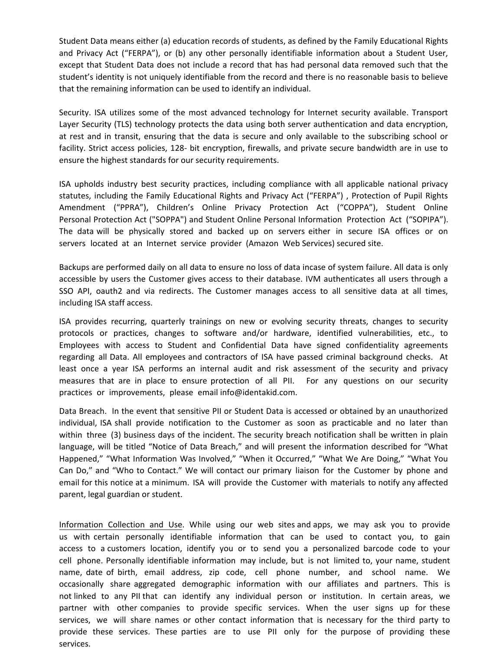Student Data means either (a) education records of students, as defined by the Family Educational Rights and Privacy Act ("FERPA"), or (b) any other personally identifiable information about a Student User, except that Student Data does not include a record that has had personal data removed such that the student's identity is not uniquely identifiable from the record and there is no reasonable basis to believe that the remaining information can be used to identify an individual.

Security. ISA utilizes some of the most advanced technology for Internet security available. Transport Layer Security (TLS) technology protects the data using both server authentication and data encryption, at rest and in transit, ensuring that the data is secure and only available to the subscribing school or facility. Strict access policies, 128- bit encryption, firewalls, and private secure bandwidth are in use to ensure the highest standards for our security requirements.

ISA upholds industry best security practices, including compliance with all applicable national privacy statutes, including the Family Educational Rights and Privacy Act ("FERPA") , Protection of Pupil Rights Amendment ("PPRA"), Children's Online Privacy Protection Act ("COPPA"), Student Online Personal Protection Act ("SOPPA") and Student Online Personal Information Protection Act ("SOPIPA"). The data will be physically stored and backed up on servers either in secure ISA offices or on servers located at an Internet service provider (Amazon Web Services) secured site.

Backups are performed daily on all data to ensure no loss of data incase of system failure. All data is only accessible by users the Customer gives access to their database. IVM authenticates all users through a SSO API, oauth2 and via redirects. The Customer manages access to all sensitive data at all times, including ISA staff access.

ISA provides recurring, quarterly trainings on new or evolving security threats, changes to security protocols or practices, changes to software and/or hardware, identified vulnerabilities, etc., to Employees with access to Student and Confidential Data have signed confidentiality agreements regarding all Data. All employees and contractors of ISA have passed criminal background checks. At least once a year ISA performs an internal audit and risk assessment of the security and privacy measures that are in place to ensure protection of all PII. For any questions on our security practices or improvements, please email info@identakid.com.

Data Breach. In the event that sensitive PII or Student Data is accessed or obtained by an unauthorized individual, ISA shall provide notification to the Customer as soon as practicable and no later than within three (3) business days of the incident. The security breach notification shall be written in plain language, will be titled "Notice of Data Breach," and will present the information described for "What Happened," "What Information Was Involved," "When it Occurred," "What We Are Doing," "What You Can Do," and "Who to Contact." We will contact our primary liaison for the Customer by phone and email for this notice at a minimum. ISA will provide the Customer with materials to notify any affected parent, legal guardian or student.

Information Collection and Use. While using our web sites and apps, we may ask you to provide us with certain personally identifiable information that can be used to contact you, to gain access to a customers location, identify you or to send you a personalized barcode code to your cell phone. Personally identifiable information may include, but is not limited to, your name, student name, date of birth, email address, zip code, cell phone number, and school name. We occasionally share aggregated demographic information with our affiliates and partners. This is not linked to any PII that can identify any individual person or institution. In certain areas, we partner with other companies to provide specific services. When the user signs up for these services, we will share names or other contact information that is necessary for the third party to provide these services. These parties are to use PII only for the purpose of providing these services.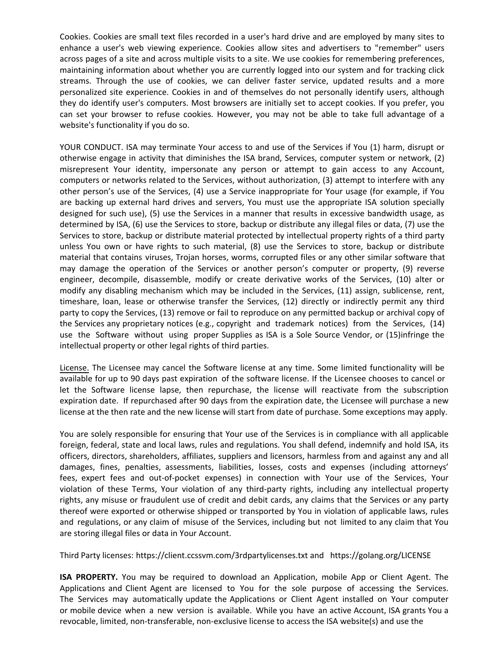Cookies. Cookies are small text files recorded in a user's hard drive and are employed by many sites to enhance a user's web viewing experience. Cookies allow sites and advertisers to "remember" users across pages of a site and across multiple visits to a site. We use cookies for remembering preferences, maintaining information about whether you are currently logged into our system and for tracking click streams. Through the use of cookies, we can deliver faster service, updated results and a more personalized site experience. Cookies in and of themselves do not personally identify users, although they do identify user's computers. Most browsers are initially set to accept cookies. If you prefer, you can set your browser to refuse cookies. However, you may not be able to take full advantage of a website's functionality if you do so.

YOUR CONDUCT. ISA may terminate Your access to and use of the Services if You (1) harm, disrupt or otherwise engage in activity that diminishes the ISA brand, Services, computer system or network, (2) misrepresent Your identity, impersonate any person or attempt to gain access to any Account, computers or networks related to the Services, without authorization, (3) attempt to interfere with any other person's use of the Services, (4) use a Service inappropriate for Your usage (for example, if You are backing up external hard drives and servers, You must use the appropriate ISA solution specially designed for such use), (5) use the Services in a manner that results in excessive bandwidth usage, as determined by ISA, (6) use the Services to store, backup or distribute any illegal files or data, (7) use the Services to store, backup or distribute material protected by intellectual property rights of a third party unless You own or have rights to such material, (8) use the Services to store, backup or distribute material that contains viruses, Trojan horses, worms, corrupted files or any other similar software that may damage the operation of the Services or another person's computer or property, (9) reverse engineer, decompile, disassemble, modify or create derivative works of the Services, (10) alter or modify any disabling mechanism which may be included in the Services, (11) assign, sublicense, rent, timeshare, loan, lease or otherwise transfer the Services, (12) directly or indirectly permit any third party to copy the Services, (13) remove or fail to reproduce on any permitted backup or archival copy of the Services any proprietary notices (e.g., copyright and trademark notices) from the Services, (14) use the Software without using proper Supplies as ISA is a Sole Source Vendor, or (15)infringe the intellectual property or other legal rights of third parties.

License. The Licensee may cancel the Software license at any time. Some limited functionality will be available for up to 90 days past expiration of the software license. If the Licensee chooses to cancel or let the Software license lapse, then repurchase, the license will reactivate from the subscription expiration date. If repurchased after 90 days from the expiration date, the Licensee will purchase a new license at the then rate and the new license will start from date of purchase. Some exceptions may apply.

You are solely responsible for ensuring that Your use of the Services is in compliance with all applicable foreign, federal, state and local laws, rules and regulations. You shall defend, indemnify and hold ISA, its officers, directors, shareholders, affiliates, suppliers and licensors, harmless from and against any and all damages, fines, penalties, assessments, liabilities, losses, costs and expenses (including attorneys' fees, expert fees and out-of-pocket expenses) in connection with Your use of the Services, Your violation of these Terms, Your violation of any third-party rights, including any intellectual property rights, any misuse or fraudulent use of credit and debit cards, any claims that the Services or any party thereof were exported or otherwise shipped or transported by You in violation of applicable laws, rules and regulations, or any claim of misuse of the Services, including but not limited to any claim that You are storing illegal files or data in Your Account.

Third Party licenses: https://client.ccssvm.com/3rdpartylicenses.txt and https://golang.org/LICENSE

**ISA PROPERTY.** You may be required to download an Application, mobile App or Client Agent. The Applications and Client Agent are licensed to You for the sole purpose of accessing the Services. The Services may automatically update the Applications or Client Agent installed on Your computer or mobile device when a new version is available. While you have an active Account, ISA grants You a revocable, limited, non-transferable, non-exclusive license to access the ISA website(s) and use the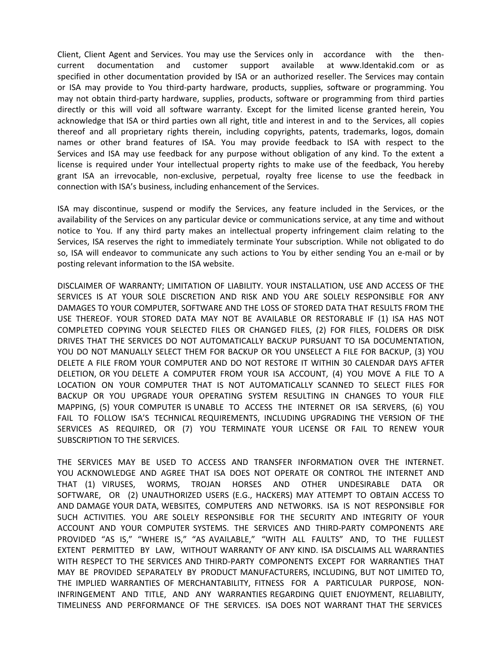Client, Client Agent and Services. You may use the Services only in accordance with the thencurrent documentation and customer support available at www.Identakid.com or as specified in other documentation provided by ISA or an authorized reseller. The Services may contain or ISA may provide to You third-party hardware, products, supplies, software or programming. You may not obtain third-party hardware, supplies, products, software or programming from third parties directly or this will void all software warranty. Except for the limited license granted herein, You acknowledge that ISA or third parties own all right, title and interest in and to the Services, all copies thereof and all proprietary rights therein, including copyrights, patents, trademarks, logos, domain names or other brand features of ISA. You may provide feedback to ISA with respect to the Services and ISA may use feedback for any purpose without obligation of any kind. To the extent a license is required under Your intellectual property rights to make use of the feedback, You hereby grant ISA an irrevocable, non-exclusive, perpetual, royalty free license to use the feedback in connection with ISA's business, including enhancement of the Services.

ISA may discontinue, suspend or modify the Services, any feature included in the Services, or the availability of the Services on any particular device or communications service, at any time and without notice to You. If any third party makes an intellectual property infringement claim relating to the Services, ISA reserves the right to immediately terminate Your subscription. While not obligated to do so, ISA will endeavor to communicate any such actions to You by either sending You an e-mail or by posting relevant information to the ISA website.

DISCLAIMER OF WARRANTY; LIMITATION OF LIABILITY. YOUR INSTALLATION, USE AND ACCESS OF THE SERVICES IS AT YOUR SOLE DISCRETION AND RISK AND YOU ARE SOLELY RESPONSIBLE FOR ANY DAMAGES TO YOUR COMPUTER, SOFTWARE AND THE LOSS OF STORED DATA THAT RESULTS FROM THE USE THEREOF. YOUR STORED DATA MAY NOT BE AVAILABLE OR RESTORABLE IF (1) ISA HAS NOT COMPLETED COPYING YOUR SELECTED FILES OR CHANGED FILES, (2) FOR FILES, FOLDERS OR DISK DRIVES THAT THE SERVICES DO NOT AUTOMATICALLY BACKUP PURSUANT TO ISA DOCUMENTATION, YOU DO NOT MANUALLY SELECT THEM FOR BACKUP OR YOU UNSELECT A FILE FOR BACKUP, (3) YOU DELETE A FILE FROM YOUR COMPUTER AND DO NOT RESTORE IT WITHIN 30 CALENDAR DAYS AFTER DELETION, OR YOU DELETE A COMPUTER FROM YOUR ISA ACCOUNT, (4) YOU MOVE A FILE TO A LOCATION ON YOUR COMPUTER THAT IS NOT AUTOMATICALLY SCANNED TO SELECT FILES FOR BACKUP OR YOU UPGRADE YOUR OPERATING SYSTEM RESULTING IN CHANGES TO YOUR FILE MAPPING, (5) YOUR COMPUTER IS UNABLE TO ACCESS THE INTERNET OR ISA SERVERS, (6) YOU FAIL TO FOLLOW ISA'S TECHNICAL REQUIREMENTS, INCLUDING UPGRADING THE VERSION OF THE SERVICES AS REQUIRED, OR (7) YOU TERMINATE YOUR LICENSE OR FAIL TO RENEW YOUR SUBSCRIPTION TO THE SERVICES.

THE SERVICES MAY BE USED TO ACCESS AND TRANSFER INFORMATION OVER THE INTERNET. YOU ACKNOWLEDGE AND AGREE THAT ISA DOES NOT OPERATE OR CONTROL THE INTERNET AND THAT (1) VIRUSES, WORMS, TROJAN HORSES AND OTHER UNDESIRABLE DATA OR SOFTWARE, OR (2) UNAUTHORIZED USERS (E.G., HACKERS) MAY ATTEMPT TO OBTAIN ACCESS TO AND DAMAGE YOUR DATA, WEBSITES, COMPUTERS AND NETWORKS. ISA IS NOT RESPONSIBLE FOR SUCH ACTIVITIES. YOU ARE SOLELY RESPONSIBLE FOR THE SECURITY AND INTEGRITY OF YOUR ACCOUNT AND YOUR COMPUTER SYSTEMS. THE SERVICES AND THIRD-PARTY COMPONENTS ARE PROVIDED "AS IS," "WHERE IS," "AS AVAILABLE," "WITH ALL FAULTS" AND, TO THE FULLEST EXTENT PERMITTED BY LAW, WITHOUT WARRANTY OF ANY KIND. ISA DISCLAIMS ALL WARRANTIES WITH RESPECT TO THE SERVICES AND THIRD-PARTY COMPONENTS EXCEPT FOR WARRANTIES THAT MAY BE PROVIDED SEPARATELY BY PRODUCT MANUFACTURERS, INCLUDING, BUT NOT LIMITED TO, THE IMPLIED WARRANTIES OF MERCHANTABILITY, FITNESS FOR A PARTICULAR PURPOSE, NON-INFRINGEMENT AND TITLE, AND ANY WARRANTIES REGARDING QUIET ENJOYMENT, RELIABILITY, TIMELINESS AND PERFORMANCE OF THE SERVICES. ISA DOES NOT WARRANT THAT THE SERVICES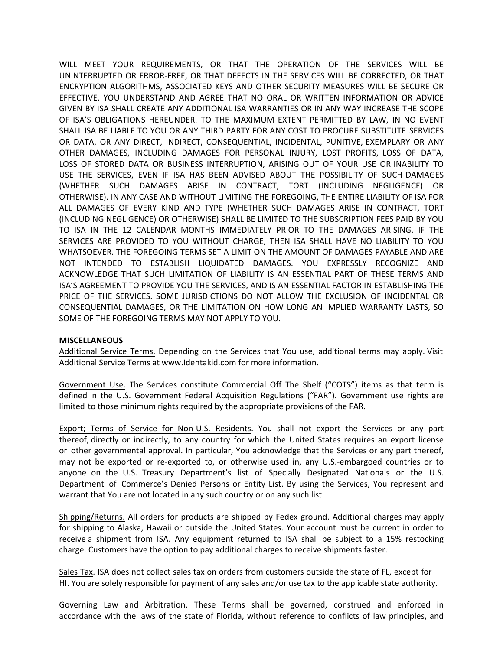WILL MEET YOUR REQUIREMENTS, OR THAT THE OPERATION OF THE SERVICES WILL BE UNINTERRUPTED OR ERROR-FREE, OR THAT DEFECTS IN THE SERVICES WILL BE CORRECTED, OR THAT ENCRYPTION ALGORITHMS, ASSOCIATED KEYS AND OTHER SECURITY MEASURES WILL BE SECURE OR EFFECTIVE. YOU UNDERSTAND AND AGREE THAT NO ORAL OR WRITTEN INFORMATION OR ADVICE GIVEN BY ISA SHALL CREATE ANY ADDITIONAL ISA WARRANTIES OR IN ANY WAY INCREASE THE SCOPE OF ISA'S OBLIGATIONS HEREUNDER. TO THE MAXIMUM EXTENT PERMITTED BY LAW, IN NO EVENT SHALL ISA BE LIABLE TO YOU OR ANY THIRD PARTY FOR ANY COST TO PROCURE SUBSTITUTE SERVICES OR DATA, OR ANY DIRECT, INDIRECT, CONSEQUENTIAL, INCIDENTAL, PUNITIVE, EXEMPLARY OR ANY OTHER DAMAGES, INCLUDING DAMAGES FOR PERSONAL INJURY, LOST PROFITS, LOSS OF DATA, LOSS OF STORED DATA OR BUSINESS INTERRUPTION, ARISING OUT OF YOUR USE OR INABILITY TO USE THE SERVICES, EVEN IF ISA HAS BEEN ADVISED ABOUT THE POSSIBILITY OF SUCH DAMAGES (WHETHER SUCH DAMAGES ARISE IN CONTRACT, TORT (INCLUDING NEGLIGENCE) OR OTHERWISE). IN ANY CASE AND WITHOUT LIMITING THE FOREGOING, THE ENTIRE LIABILITY OF ISA FOR ALL DAMAGES OF EVERY KIND AND TYPE (WHETHER SUCH DAMAGES ARISE IN CONTRACT, TORT (INCLUDING NEGLIGENCE) OR OTHERWISE) SHALL BE LIMITED TO THE SUBSCRIPTION FEES PAID BY YOU TO ISA IN THE 12 CALENDAR MONTHS IMMEDIATELY PRIOR TO THE DAMAGES ARISING. IF THE SERVICES ARE PROVIDED TO YOU WITHOUT CHARGE, THEN ISA SHALL HAVE NO LIABILITY TO YOU WHATSOEVER. THE FOREGOING TERMS SET A LIMIT ON THE AMOUNT OF DAMAGES PAYABLE AND ARE NOT INTENDED TO ESTABLISH LIQUIDATED DAMAGES. YOU EXPRESSLY RECOGNIZE AND ACKNOWLEDGE THAT SUCH LIMITATION OF LIABILITY IS AN ESSENTIAL PART OF THESE TERMS AND ISA'S AGREEMENT TO PROVIDE YOU THE SERVICES, AND IS AN ESSENTIAL FACTOR IN ESTABLISHING THE PRICE OF THE SERVICES. SOME JURISDICTIONS DO NOT ALLOW THE EXCLUSION OF INCIDENTAL OR CONSEQUENTIAL DAMAGES, OR THE LIMITATION ON HOW LONG AN IMPLIED WARRANTY LASTS, SO SOME OF THE FOREGOING TERMS MAY NOT APPLY TO YOU.

## **MISCELLANEOUS**

Additional Service Terms. Depending on the Services that You use, additional terms may apply. Visit Additional Service Terms at www.Identakid.com for more information.

Government Use. The Services constitute Commercial Off The Shelf ("COTS") items as that term is defined in the U.S. Government Federal Acquisition Regulations ("FAR"). Government use rights are limited to those minimum rights required by the appropriate provisions of the FAR.

Export; Terms of Service for Non-U.S. Residents. You shall not export the Services or any part thereof, directly or indirectly, to any country for which the United States requires an export license or other governmental approval. In particular, You acknowledge that the Services or any part thereof, may not be exported or re-exported to, or otherwise used in, any U.S.-embargoed countries or to anyone on the U.S. Treasury Department's list of Specially Designated Nationals or the U.S. Department of Commerce's Denied Persons or Entity List. By using the Services, You represent and warrant that You are not located in any such country or on any such list.

Shipping/Returns. All orders for products are shipped by Fedex ground. Additional charges may apply for shipping to Alaska, Hawaii or outside the United States. Your account must be current in order to receive a shipment from ISA. Any equipment returned to ISA shall be subject to a 15% restocking charge. Customers have the option to pay additional charges to receive shipments faster.

Sales Tax. ISA does not collect sales tax on orders from customers outside the state of FL, except for HI. You are solely responsible for payment of any sales and/or use tax to the applicable state authority.

Governing Law and Arbitration. These Terms shall be governed, construed and enforced in accordance with the laws of the state of Florida, without reference to conflicts of law principles, and